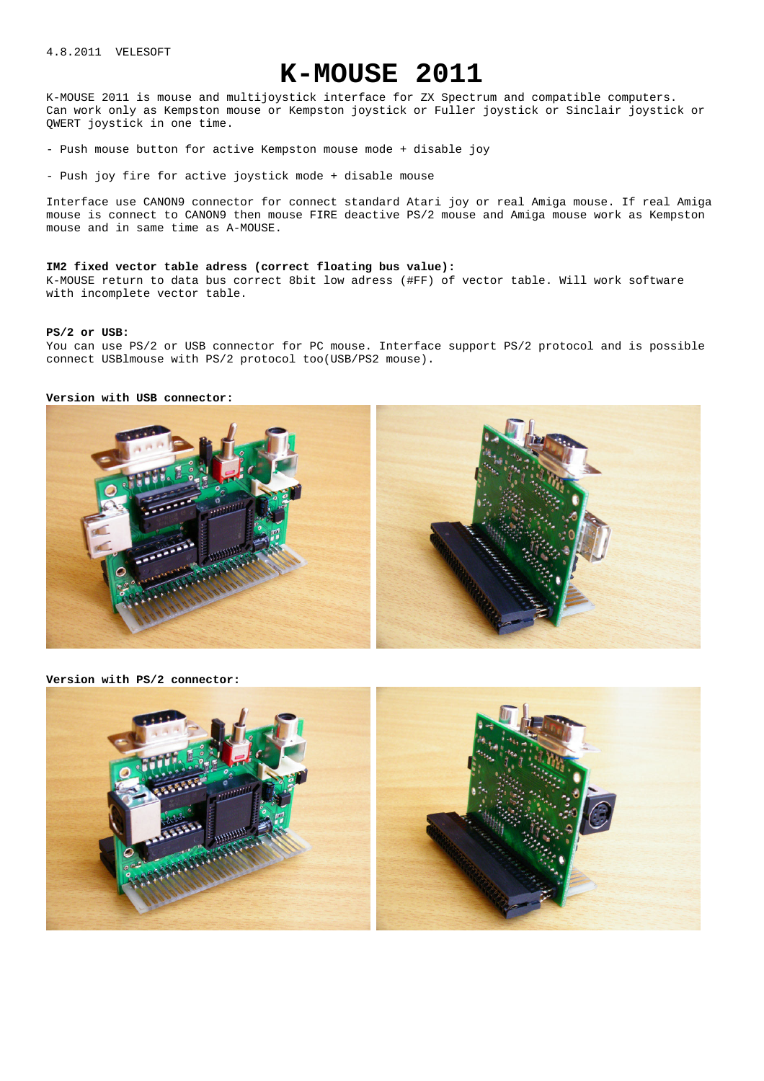# **K-MOUSE 2011**

K-MOUSE 2011 is mouse and multijoystick interface for ZX Spectrum and compatible computers. Can work only as Kempston mouse or Kempston joystick or Fuller joystick or Sinclair joystick or QWERT joystick in one time.

- Push mouse button for active Kempston mouse mode + disable joy

- Push joy fire for active joystick mode + disable mouse

Interface use CANON9 connector for connect standard Atari joy or real Amiga mouse. If real Amiga mouse is connect to CANON9 then mouse FIRE deactive PS/2 mouse and Amiga mouse work as Kempston mouse and in same time as A-MOUSE.

#### **IM2 fixed vector table adress (correct floating bus value):**

K-MOUSE return to data bus correct 8bit low adress (#FF) of vector table. Will work software with incomplete vector table.

#### **PS/2 or USB:**

You can use PS/2 or USB connector for PC mouse. Interface support PS/2 protocol and is possible connect USBlmouse with PS/2 protocol too(USB/PS2 mouse).

#### **Version with USB connector:**



**Version with PS/2 connector:** 

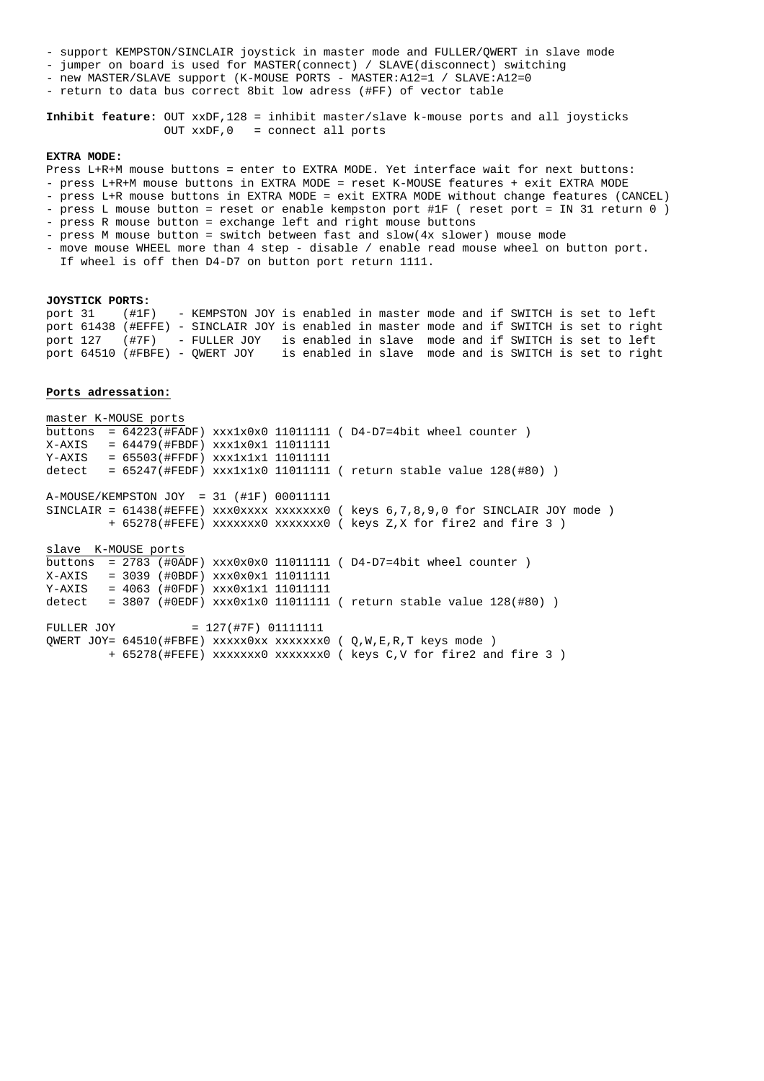- support KEMPSTON/SINCLAIR joystick in master mode and FULLER/QWERT in slave mode
- jumper on board is used for MASTER(connect) / SLAVE(disconnect) switching
- new MASTER/SLAVE support (K-MOUSE PORTS MASTER: A12=1 / SLAVE: A12=0
- return to data bus correct 8bit low adress (#FF) of vector table

**Inhibit feature:** OUT xxDF,128 = inhibit master/slave k-mouse ports and all joysticks OUT xxDF,0 = connect all ports

#### **EXTRA MODE:**

Press L+R+M mouse buttons = enter to EXTRA MODE. Yet interface wait for next buttons:

- press L+R+M mouse buttons in EXTRA MODE = reset K-MOUSE features + exit EXTRA MODE

- press L+R mouse buttons in EXTRA MODE = exit EXTRA MODE without change features (CANCEL) - press L mouse button = reset or enable kempston port #1F ( reset port = IN 31 return 0 )

- press R mouse button = exchange left and right mouse buttons
- press M mouse button = switch between fast and slow(4x slower) mouse mode
- move mouse WHEEL more than 4 step disable / enable read mouse wheel on button port.
- If wheel is off then D4-D7 on button port return 1111.

#### **JOYSTICK PORTS:**

port 31 (#1F) - KEMPSTON JOY is enabled in master mode and if SWITCH is set to left port 61438 (#EFFE) - SINCLAIR JOY is enabled in master mode and if SWITCH is set to right port 127 (#7F) - FULLER JOY is enabled in slave mode and if SWITCH is set to left port 64510 (#FBFE) - QWERT JOY is enabled in slave mode and is SWITCH is set to right

#### **Ports adressation:**

master K-MOUSE ports buttons =  $64223$ (#FADF) xxx1x0x0 11011111 ( D4-D7=4bit wheel counter ) X-AXIS = 64479(#FBDF) xxx1x0x1 11011111 Y-AXIS = 65503(#FFDF) xxx1x1x1 11011111 detect =  $65247$ (#FEDF)  $xxx1x1x0$  11011111 ( return stable value 128(#80)) A-MOUSE/KEMPSTON JOY = 31 (#1F) 00011111 SINCLAIR =  $61438$ (#EFFE) xxx0xxxx xxxxxxx0 ( keys  $6,7,8,9,0$  for SINCLAIR JOY mode ) + 65278(#FEFE) xxxxxxx0 xxxxxxx0 ( keys Z,X for fire2 and fire 3 ) slave K-MOUSE ports buttons =  $2783$  (#0ADF) xxx0x0x0 11011111 ( D4-D7=4bit wheel counter ) X-AXIS = 3039 (#0BDF) xxx0x0x1 11011111  $Y-AXIS = 4063$  (#0FDF)  $XXX0x1x1 11011111$ detect =  $3807$  (#0EDF)  $xxx0x1x0$  11011111 ( return stable value 128(#80)) FULLER JOY = 127(#7F) 01111111 QWERT JOY= 64510(#FBFE) xxxxx0xx xxxxxxx0 ( Q,W,E,R,T keys mode ) + 65278(#FEFE) xxxxxxx0 xxxxxxx0 ( keys C,V for fire2 and fire 3 )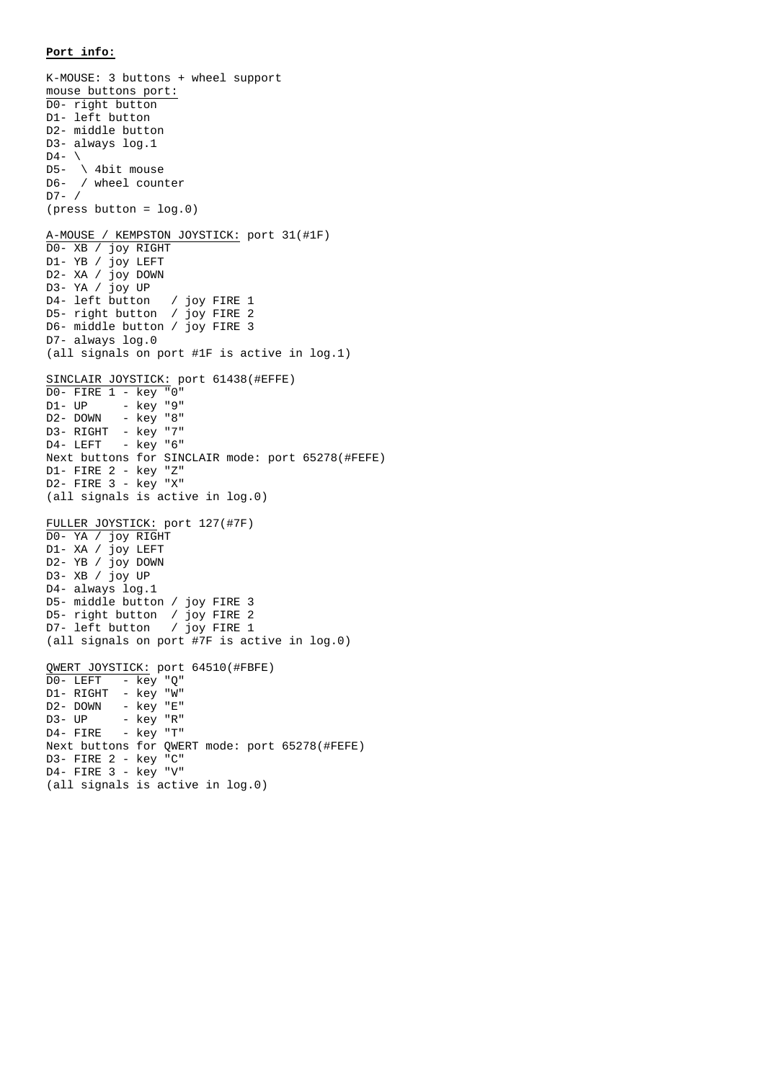### **Port info:**

K-MOUSE: 3 buttons + wheel support mouse buttons port: D0- right button D1- left button D2- middle button D3- always log.1  $D4 D5-$  \ 4bit mouse D6- / wheel counter D7- / (press button = log.0) A-MOUSE / KEMPSTON JOYSTICK: port 31(#1F) D0- XB / joy RIGHT D1- YB / joy LEFT D2- XA / joy DOWN D3- YA / joy UP D4- left button / joy FIRE 1 D5- right button / joy FIRE 2 D6- middle button / joy FIRE 3 D7- always log.0 (all signals on port #1F is active in log.1) SINCLAIR JOYSTICK: port 61438(#EFFE) D0- FIRE 1 - key "0"  $D1 - UP - key "9"$ <br> $D2 - DOWN - key "8"$ - key "8" D3- RIGHT - key "7" D4- LEFT - key "6" Next buttons for SINCLAIR mode: port 65278(#FEFE) D1- FIRE 2 - key "Z" D2- FIRE 3 - key "X" (all signals is active in log.0) FULLER JOYSTICK: port 127(#7F) D0- YA / joy RIGHT D1- XA / joy LEFT D2- YB / joy DOWN D3- XB / joy UP D4- always log.1 D5- middle button / joy FIRE 3 D5- right button / joy FIRE 2 D7- left button / joy FIRE 1 (all signals on port #7F is active in log.0) QWERT JOYSTICK: port 64510(#FBFE)  $\overline{D0}$ - LEFT - key "Q" D1- RIGHT - key "W" D2- DOWN - key "E" D3- UP - key "R"  $D4-$  FIRE  $-$  key "T" Next buttons for QWERT mode: port 65278(#FEFE) D3- FIRE 2 - key "C" D4- FIRE 3 - key "V"

(all signals is active in log.0)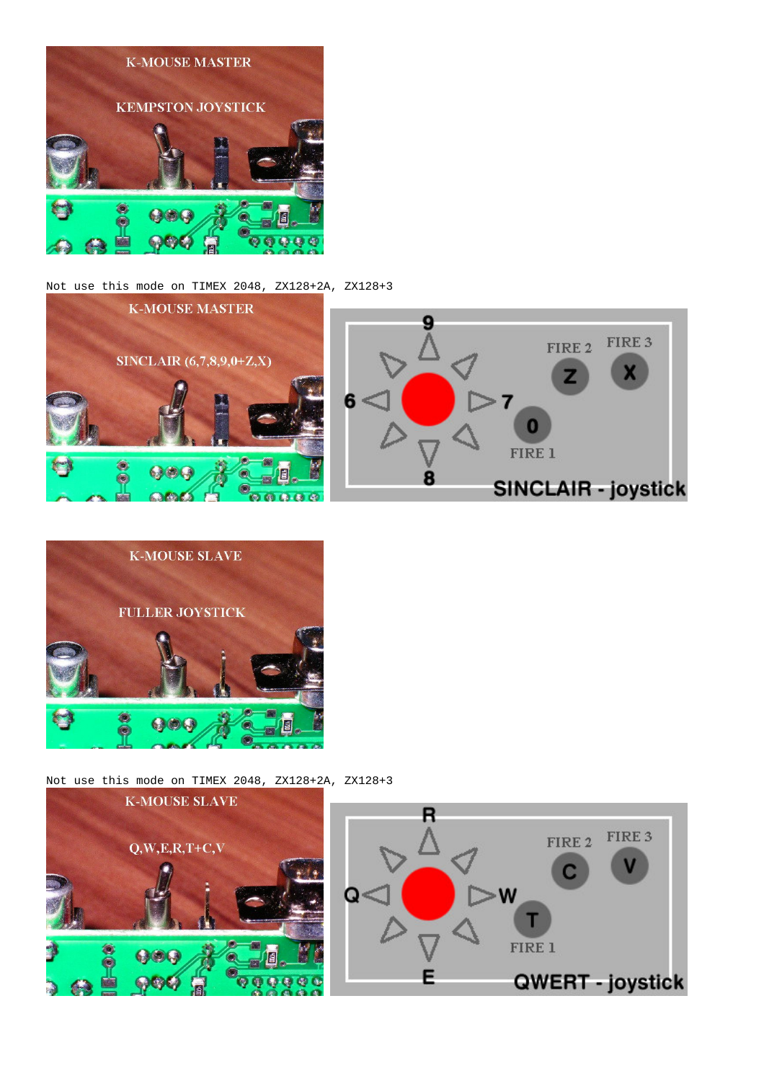

## Not use this mode on TIMEX 2048, ZX128+2A, ZX128+3





Not use this mode on TIMEX 2048, ZX128+2A, ZX128+3